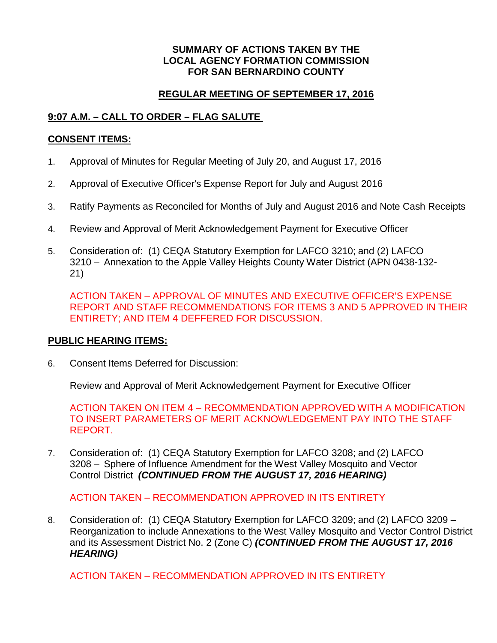#### **SUMMARY OF ACTIONS TAKEN BY THE LOCAL AGENCY FORMATION COMMISSION FOR SAN BERNARDINO COUNTY**

### **REGULAR MEETING OF SEPTEMBER 17, 2016**

## **9:07 A.M. – CALL TO ORDER – FLAG SALUTE**

#### **CONSENT ITEMS:**

- 1. Approval of Minutes for Regular Meeting of July 20, and August 17, 2016
- 2. Approval of Executive Officer's Expense Report for July and August 2016
- 3. Ratify Payments as Reconciled for Months of July and August 2016 and Note Cash Receipts
- 4. Review and Approval of Merit Acknowledgement Payment for Executive Officer
- 5. Consideration of: (1) CEQA Statutory Exemption for LAFCO 3210; and (2) LAFCO 3210 – Annexation to the Apple Valley Heights County Water District (APN 0438-132- 21)

ACTION TAKEN – APPROVAL OF MINUTES AND EXECUTIVE OFFICER'S EXPENSE REPORT AND STAFF RECOMMENDATIONS FOR ITEMS 3 AND 5 APPROVED IN THEIR ENTIRETY; AND ITEM 4 DEFFERED FOR DISCUSSION.

#### **PUBLIC HEARING ITEMS:**

6. Consent Items Deferred for Discussion:

Review and Approval of Merit Acknowledgement Payment for Executive Officer

ACTION TAKEN ON ITEM 4 – RECOMMENDATION APPROVED WITH A MODIFICATION TO INSERT PARAMETERS OF MERIT ACKNOWLEDGEMENT PAY INTO THE STAFF REPORT.

7. Consideration of: (1) CEQA Statutory Exemption for LAFCO 3208; and (2) LAFCO 3208 – Sphere of Influence Amendment for the West Valley Mosquito and Vector Control District *(CONTINUED FROM THE AUGUST 17, 2016 HEARING)*

ACTION TAKEN – RECOMMENDATION APPROVED IN ITS ENTIRETY

8. Consideration of: (1) CEQA Statutory Exemption for LAFCO 3209; and (2) LAFCO 3209 – Reorganization to include Annexations to the West Valley Mosquito and Vector Control District and its Assessment District No. 2 (Zone C) *(CONTINUED FROM THE AUGUST 17, 2016 HEARING)*

ACTION TAKEN – RECOMMENDATION APPROVED IN ITS ENTIRETY